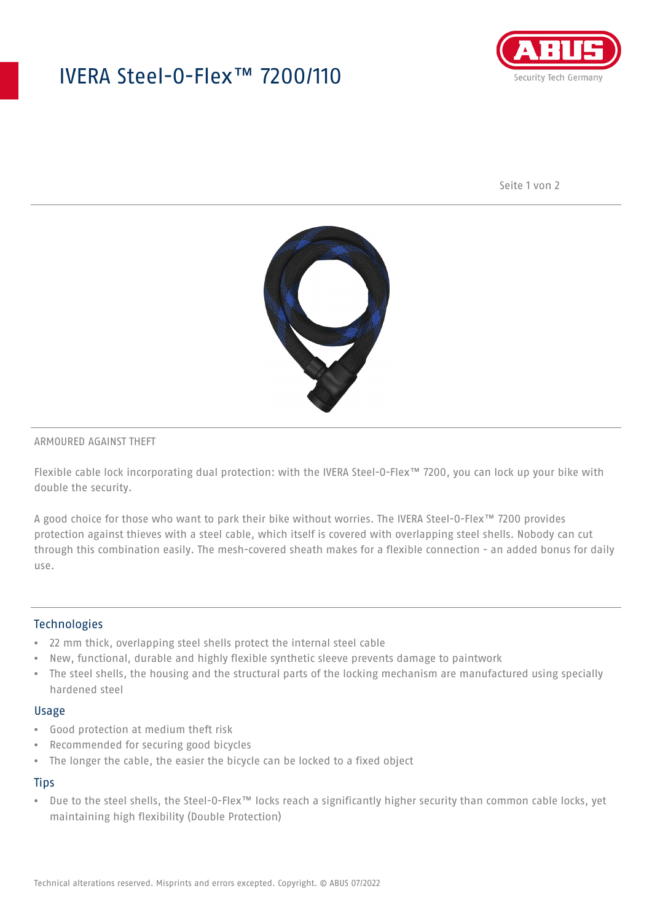# IVERA Steel-O-Flex™ 7200/110



Seite 1 von 2



#### ARMOURED AGAINST THEFT

Flexible cable lock incorporating dual protection: with the IVERA Steel-O-Flex™ 7200, you can lock up your bike with double the security.

A good choice for those who want to park their bike without worries. The IVERA Steel-O-Flex™ 7200 provides protection against thieves with a steel cable, which itself is covered with overlapping steel shells. Nobody can cut through this combination easily. The mesh-covered sheath makes for a flexible connection - an added bonus for daily use.

### Technologies

- 22 mm thick, overlapping steel shells protect the internal steel cable
- New, functional, durable and highly flexible synthetic sleeve prevents damage to paintwork
- The steel shells, the housing and the structural parts of the locking mechanism are manufactured using specially hardened steel

#### Usage

- Good protection at medium theft risk
- Recommended for securing good bicycles
- The longer the cable, the easier the bicycle can be locked to a fixed object

### **Tips**

• Due to the steel shells, the Steel-O-Flex™ locks reach a significantly higher security than common cable locks, yet maintaining high flexibility (Double Protection)